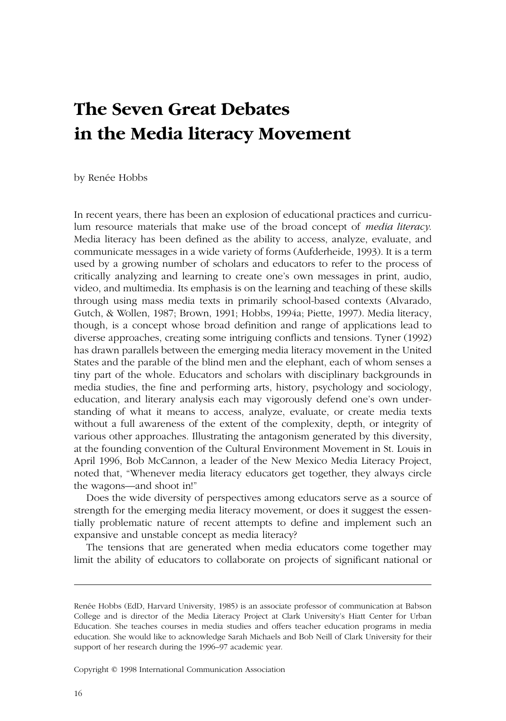# **The Seven Great Debates in the Media literacy Movement**

by Renée Hobbs

In recent years, there has been an explosion of educational practices and curriculum resource materials that make use of the broad concept of *media literacy*. Media literacy has been defined as the ability to access, analyze, evaluate, and communicate messages in a wide variety of forms (Aufderheide, 1993). It is a term used by a growing number of scholars and educators to refer to the process of critically analyzing and learning to create one's own messages in print, audio, video, and multimedia. Its emphasis is on the learning and teaching of these skills through using mass media texts in primarily school-based contexts (Alvarado, Gutch, & Wollen, 1987; Brown, 1991; Hobbs, 1994a; Piette, 1997). Media literacy, though, is a concept whose broad definition and range of applications lead to diverse approaches, creating some intriguing conflicts and tensions. Tyner (1992) has drawn parallels between the emerging media literacy movement in the United States and the parable of the blind men and the elephant, each of whom senses a tiny part of the whole. Educators and scholars with disciplinary backgrounds in media studies, the fine and performing arts, history, psychology and sociology, education, and literary analysis each may vigorously defend one's own understanding of what it means to access, analyze, evaluate, or create media texts without a full awareness of the extent of the complexity, depth, or integrity of various other approaches. Illustrating the antagonism generated by this diversity, at the founding convention of the Cultural Environment Movement in St. Louis in April 1996, Bob McCannon, a leader of the New Mexico Media Literacy Project, noted that, "Whenever media literacy educators get together, they always circle the wagons—and shoot in!"

Does the wide diversity of perspectives among educators serve as a source of strength for the emerging media literacy movement, or does it suggest the essentially problematic nature of recent attempts to define and implement such an expansive and unstable concept as media literacy?

The tensions that are generated when media educators come together may limit the ability of educators to collaborate on projects of significant national or

Copyright © 1998 International Communication Association

Renée Hobbs (EdD, Harvard University, 1985) is an associate professor of communication at Babson College and is director of the Media Literacy Project at Clark University's Hiatt Center for Urban Education. She teaches courses in media studies and offers teacher education programs in media education. She would like to acknowledge Sarah Michaels and Bob Neill of Clark University for their support of her research during the 1996–97 academic year.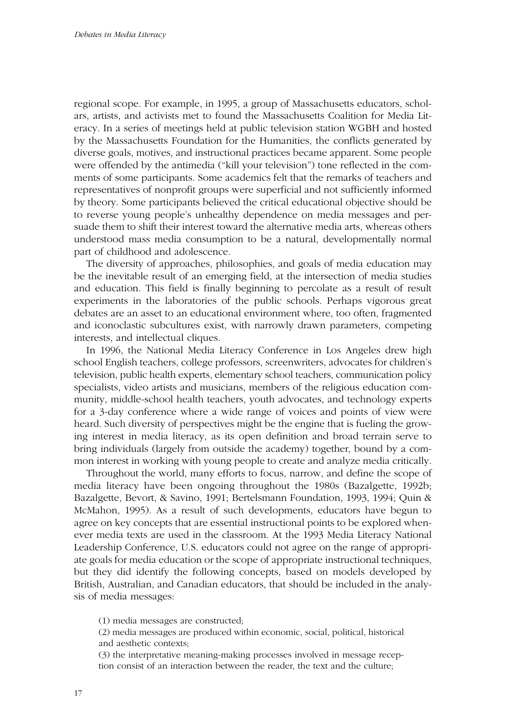regional scope. For example, in 1995, a group of Massachusetts educators, scholars, artists, and activists met to found the Massachusetts Coalition for Media Literacy. In a series of meetings held at public television station WGBH and hosted by the Massachusetts Foundation for the Humanities, the conflicts generated by diverse goals, motives, and instructional practices became apparent. Some people were offended by the antimedia ("kill your television") tone reflected in the comments of some participants. Some academics felt that the remarks of teachers and representatives of nonprofit groups were superficial and not sufficiently informed by theory. Some participants believed the critical educational objective should be to reverse young people's unhealthy dependence on media messages and persuade them to shift their interest toward the alternative media arts, whereas others understood mass media consumption to be a natural, developmentally normal part of childhood and adolescence.

The diversity of approaches, philosophies, and goals of media education may be the inevitable result of an emerging field, at the intersection of media studies and education. This field is finally beginning to percolate as a result of result experiments in the laboratories of the public schools. Perhaps vigorous great debates are an asset to an educational environment where, too often, fragmented and iconoclastic subcultures exist, with narrowly drawn parameters, competing interests, and intellectual cliques.

In 1996, the National Media Literacy Conference in Los Angeles drew high school English teachers, college professors, screenwriters, advocates for children's television, public health experts, elementary school teachers, communication policy specialists, video artists and musicians, members of the religious education community, middle-school health teachers, youth advocates, and technology experts for a 3-day conference where a wide range of voices and points of view were heard. Such diversity of perspectives might be the engine that is fueling the growing interest in media literacy, as its open definition and broad terrain serve to bring individuals (largely from outside the academy) together, bound by a common interest in working with young people to create and analyze media critically.

Throughout the world, many efforts to focus, narrow, and define the scope of media literacy have been ongoing throughout the 1980s (Bazalgette, 1992b; Bazalgette, Bevort, & Savino, 1991; Bertelsmann Foundation, 1993, 1994; Quin & McMahon, 1995). As a result of such developments, educators have begun to agree on key concepts that are essential instructional points to be explored whenever media texts are used in the classroom. At the 1993 Media Literacy National Leadership Conference, U.S. educators could not agree on the range of appropriate goals for media education or the scope of appropriate instructional techniques, but they did identify the following concepts, based on models developed by British, Australian, and Canadian educators, that should be included in the analysis of media messages:

(1) media messages are constructed;

(2) media messages are produced within economic, social, political, historical and aesthetic contexts;

(3) the interpretative meaning-making processes involved in message reception consist of an interaction between the reader, the text and the culture;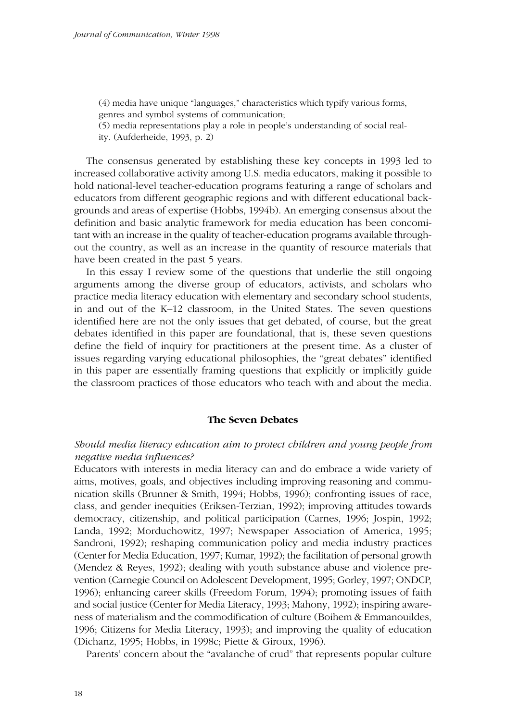(4) media have unique "languages," characteristics which typify various forms, genres and symbol systems of communication;

- (5) media representations play a role in people's understanding of social real-
- ity. (Aufderheide, 1993, p. 2)

The consensus generated by establishing these key concepts in 1993 led to increased collaborative activity among U.S. media educators, making it possible to hold national-level teacher-education programs featuring a range of scholars and educators from different geographic regions and with different educational backgrounds and areas of expertise (Hobbs, 1994b). An emerging consensus about the definition and basic analytic framework for media education has been concomitant with an increase in the quality of teacher-education programs available throughout the country, as well as an increase in the quantity of resource materials that have been created in the past 5 years.

In this essay I review some of the questions that underlie the still ongoing arguments among the diverse group of educators, activists, and scholars who practice media literacy education with elementary and secondary school students, in and out of the K–12 classroom, in the United States. The seven questions identified here are not the only issues that get debated, of course, but the great debates identified in this paper are foundational, that is, these seven questions define the field of inquiry for practitioners at the present time. As a cluster of issues regarding varying educational philosophies, the "great debates" identified in this paper are essentially framing questions that explicitly or implicitly guide the classroom practices of those educators who teach with and about the media.

## **The Seven Debates**

## *Should media literacy education aim to protect children and young people from negative media influences?*

Educators with interests in media literacy can and do embrace a wide variety of aims, motives, goals, and objectives including improving reasoning and communication skills (Brunner & Smith, 1994; Hobbs, 1996); confronting issues of race, class, and gender inequities (Eriksen-Terzian, 1992); improving attitudes towards democracy, citizenship, and political participation (Carnes, 1996; Jospin, 1992; Landa, 1992; Morduchowitz, 1997; Newspaper Association of America, 1995; Sandroni, 1992); reshaping communication policy and media industry practices (Center for Media Education, 1997; Kumar, 1992); the facilitation of personal growth (Mendez & Reyes, 1992); dealing with youth substance abuse and violence prevention (Carnegie Council on Adolescent Development, 1995; Gorley, 1997; ONDCP, 1996); enhancing career skills (Freedom Forum, 1994); promoting issues of faith and social justice (Center for Media Literacy, 1993; Mahony, 1992); inspiring awareness of materialism and the commodification of culture (Boihem & Emmanouildes, 1996; Citizens for Media Literacy, 1993); and improving the quality of education (Dichanz, 1995; Hobbs, in 1998c; Piette & Giroux, 1996).

Parents' concern about the "avalanche of crud" that represents popular culture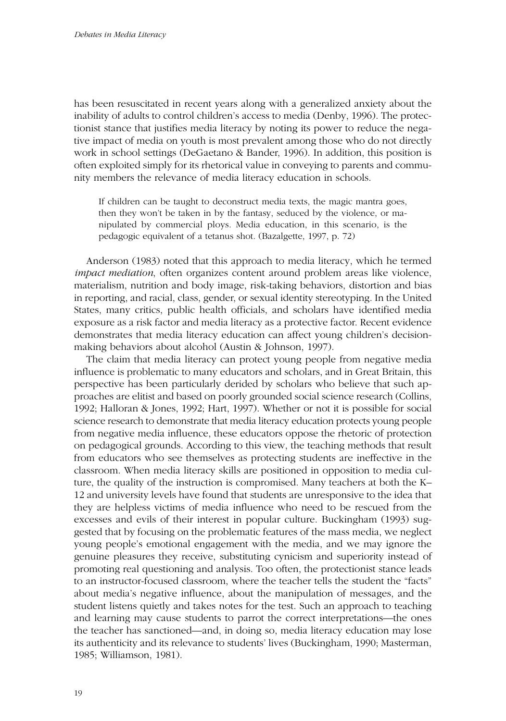has been resuscitated in recent years along with a generalized anxiety about the inability of adults to control children's access to media (Denby, 1996). The protectionist stance that justifies media literacy by noting its power to reduce the negative impact of media on youth is most prevalent among those who do not directly work in school settings (DeGaetano & Bander, 1996). In addition, this position is often exploited simply for its rhetorical value in conveying to parents and community members the relevance of media literacy education in schools.

If children can be taught to deconstruct media texts, the magic mantra goes, then they won't be taken in by the fantasy, seduced by the violence, or manipulated by commercial ploys. Media education, in this scenario, is the pedagogic equivalent of a tetanus shot. (Bazalgette, 1997, p. 72)

Anderson (1983) noted that this approach to media literacy, which he termed *impact mediation*, often organizes content around problem areas like violence, materialism, nutrition and body image, risk-taking behaviors, distortion and bias in reporting, and racial, class, gender, or sexual identity stereotyping. In the United States, many critics, public health officials, and scholars have identified media exposure as a risk factor and media literacy as a protective factor. Recent evidence demonstrates that media literacy education can affect young children's decisionmaking behaviors about alcohol (Austin & Johnson, 1997).

The claim that media literacy can protect young people from negative media influence is problematic to many educators and scholars, and in Great Britain, this perspective has been particularly derided by scholars who believe that such approaches are elitist and based on poorly grounded social science research (Collins, 1992; Halloran & Jones, 1992; Hart, 1997). Whether or not it is possible for social science research to demonstrate that media literacy education protects young people from negative media influence, these educators oppose the rhetoric of protection on pedagogical grounds. According to this view, the teaching methods that result from educators who see themselves as protecting students are ineffective in the classroom. When media literacy skills are positioned in opposition to media culture, the quality of the instruction is compromised. Many teachers at both the K– 12 and university levels have found that students are unresponsive to the idea that they are helpless victims of media influence who need to be rescued from the excesses and evils of their interest in popular culture. Buckingham (1993) suggested that by focusing on the problematic features of the mass media, we neglect young people's emotional engagement with the media, and we may ignore the genuine pleasures they receive, substituting cynicism and superiority instead of promoting real questioning and analysis. Too often, the protectionist stance leads to an instructor-focused classroom, where the teacher tells the student the "facts" about media's negative influence, about the manipulation of messages, and the student listens quietly and takes notes for the test. Such an approach to teaching and learning may cause students to parrot the correct interpretations—the ones the teacher has sanctioned—and, in doing so, media literacy education may lose its authenticity and its relevance to students' lives (Buckingham, 1990; Masterman, 1985; Williamson, 1981).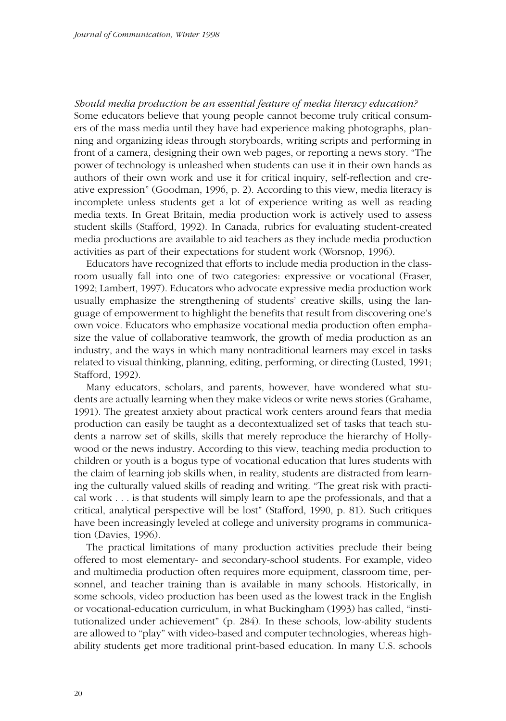*Should media production be an essential feature of media literacy education?* Some educators believe that young people cannot become truly critical consumers of the mass media until they have had experience making photographs, planning and organizing ideas through storyboards, writing scripts and performing in front of a camera, designing their own web pages, or reporting a news story. "The power of technology is unleashed when students can use it in their own hands as authors of their own work and use it for critical inquiry, self-reflection and creative expression" (Goodman, 1996, p. 2). According to this view, media literacy is incomplete unless students get a lot of experience writing as well as reading media texts. In Great Britain, media production work is actively used to assess student skills (Stafford, 1992). In Canada, rubrics for evaluating student-created media productions are available to aid teachers as they include media production activities as part of their expectations for student work (Worsnop, 1996).

Educators have recognized that efforts to include media production in the classroom usually fall into one of two categories: expressive or vocational (Fraser, 1992; Lambert, 1997). Educators who advocate expressive media production work usually emphasize the strengthening of students' creative skills, using the language of empowerment to highlight the benefits that result from discovering one's own voice. Educators who emphasize vocational media production often emphasize the value of collaborative teamwork, the growth of media production as an industry, and the ways in which many nontraditional learners may excel in tasks related to visual thinking, planning, editing, performing, or directing (Lusted, 1991; Stafford, 1992).

Many educators, scholars, and parents, however, have wondered what students are actually learning when they make videos or write news stories (Grahame, 1991). The greatest anxiety about practical work centers around fears that media production can easily be taught as a decontextualized set of tasks that teach students a narrow set of skills, skills that merely reproduce the hierarchy of Hollywood or the news industry. According to this view, teaching media production to children or youth is a bogus type of vocational education that lures students with the claim of learning job skills when, in reality, students are distracted from learning the culturally valued skills of reading and writing. "The great risk with practical work . . . is that students will simply learn to ape the professionals, and that a critical, analytical perspective will be lost" (Stafford, 1990, p. 81). Such critiques have been increasingly leveled at college and university programs in communication (Davies, 1996).

The practical limitations of many production activities preclude their being offered to most elementary- and secondary-school students. For example, video and multimedia production often requires more equipment, classroom time, personnel, and teacher training than is available in many schools. Historically, in some schools, video production has been used as the lowest track in the English or vocational-education curriculum, in what Buckingham (1993) has called, "institutionalized under achievement" (p. 284). In these schools, low-ability students are allowed to "play" with video-based and computer technologies, whereas highability students get more traditional print-based education. In many U.S. schools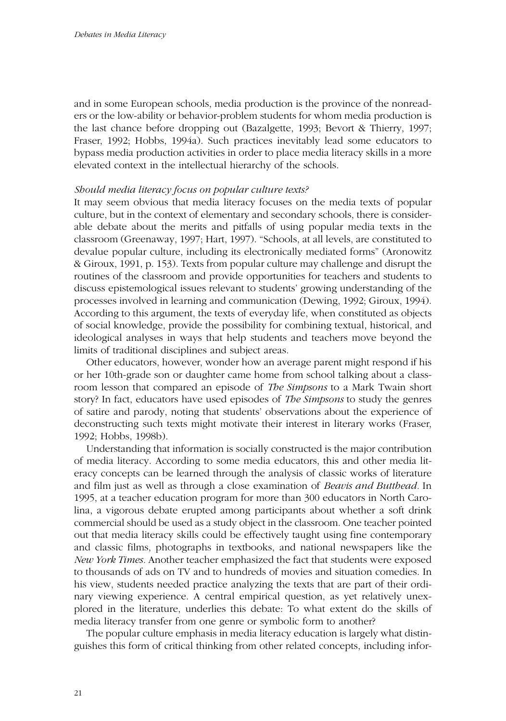and in some European schools, media production is the province of the nonreaders or the low-ability or behavior-problem students for whom media production is the last chance before dropping out (Bazalgette, 1993; Bevort & Thierry, 1997; Fraser, 1992; Hobbs, 1994a). Such practices inevitably lead some educators to bypass media production activities in order to place media literacy skills in a more elevated context in the intellectual hierarchy of the schools.

### *Should media literacy focus on popular culture texts?*

It may seem obvious that media literacy focuses on the media texts of popular culture, but in the context of elementary and secondary schools, there is considerable debate about the merits and pitfalls of using popular media texts in the classroom (Greenaway, 1997; Hart, 1997). "Schools, at all levels, are constituted to devalue popular culture, including its electronically mediated forms" (Aronowitz & Giroux, 1991, p. 153). Texts from popular culture may challenge and disrupt the routines of the classroom and provide opportunities for teachers and students to discuss epistemological issues relevant to students' growing understanding of the processes involved in learning and communication (Dewing, 1992; Giroux, 1994). According to this argument, the texts of everyday life, when constituted as objects of social knowledge, provide the possibility for combining textual, historical, and ideological analyses in ways that help students and teachers move beyond the limits of traditional disciplines and subject areas.

Other educators, however, wonder how an average parent might respond if his or her 10th-grade son or daughter came home from school talking about a classroom lesson that compared an episode of *The Simpsons* to a Mark Twain short story? In fact, educators have used episodes of *The Simpsons* to study the genres of satire and parody, noting that students' observations about the experience of deconstructing such texts might motivate their interest in literary works (Fraser, 1992; Hobbs, 1998b).

Understanding that information is socially constructed is the major contribution of media literacy. According to some media educators, this and other media literacy concepts can be learned through the analysis of classic works of literature and film just as well as through a close examination of *Beavis and Butthead.* In 1995, at a teacher education program for more than 300 educators in North Carolina, a vigorous debate erupted among participants about whether a soft drink commercial should be used as a study object in the classroom. One teacher pointed out that media literacy skills could be effectively taught using fine contemporary and classic films, photographs in textbooks, and national newspapers like the *New York Times.* Another teacher emphasized the fact that students were exposed to thousands of ads on TV and to hundreds of movies and situation comedies. In his view, students needed practice analyzing the texts that are part of their ordinary viewing experience. A central empirical question, as yet relatively unexplored in the literature, underlies this debate: To what extent do the skills of media literacy transfer from one genre or symbolic form to another?

The popular culture emphasis in media literacy education is largely what distinguishes this form of critical thinking from other related concepts, including infor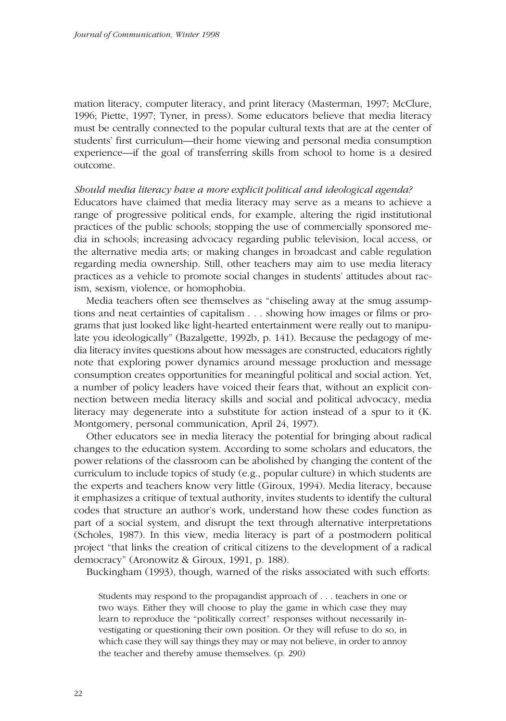mation literacy, computer literacy, and print literacy (Masterman, 1997; McClure, 1996; Piette, 1997; Tyner, in press). Some educators believe that media literacy must be centrally connected to the popular cultural texts that are at the center of students' first curriculum—their home viewing and personal media consumption experience—if the goal of transferring skills from school to home is a desired outcome.

#### *Should media literacy have a more explicit political and ideological agenda?*

Educators have claimed that media literacy may serve as a means to achieve a range of progressive political ends, for example, altering the rigid institutional practices of the public schools; stopping the use of commercially sponsored media in schools; increasing advocacy regarding public television, local access, or the alternative media arts; or making changes in broadcast and cable regulation regarding media ownership. Still, other teachers may aim to use media literacy practices as a vehicle to promote social changes in students' attitudes about racism, sexism, violence, or homophobia.

Media teachers often see themselves as "chiseling away at the smug assumptions and neat certainties of capitalism . . . showing how images or films or programs that just looked like light-hearted entertainment were really out to manipulate you ideologically" (Bazalgette, 1992b, p. 141). Because the pedagogy of media literacy invites questions about how messages are constructed, educators rightly note that exploring power dynamics around message production and message consumption creates opportunities for meaningful political and social action. Yet, a number of policy leaders have voiced their fears that, without an explicit connection between media literacy skills and social and political advocacy, media literacy may degenerate into a substitute for action instead of a spur to it (K. Montgomery, personal communication, April 24, 1997).

Other educators see in media literacy the potential for bringing about radical changes to the education system. According to some scholars and educators, the power relations of the classroom can be abolished by changing the content of the curriculum to include topics of study (e.g., popular culture) in which students are the experts and teachers know very little (Giroux, 1994). Media literacy, because it emphasizes a critique of textual authority, invites students to identify the cultural codes that structure an author's work, understand how these codes function as part of a social system, and disrupt the text through alternative interpretations (Scholes, 1987). In this view, media literacy is part of a postmodern political project "that links the creation of critical citizens to the development of a radical democracy" (Aronowitz & Giroux, 1991, p. 188).

Buckingham (1993), though, warned of the risks associated with such efforts:

Students may respond to the propagandist approach of . . . teachers in one or two ways. Either they will choose to play the game in which case they may learn to reproduce the "politically correct" responses without necessarily investigating or questioning their own position. Or they will refuse to do so, in which case they will say things they may or may not believe, in order to annoy the teacher and thereby amuse themselves. (p. 290)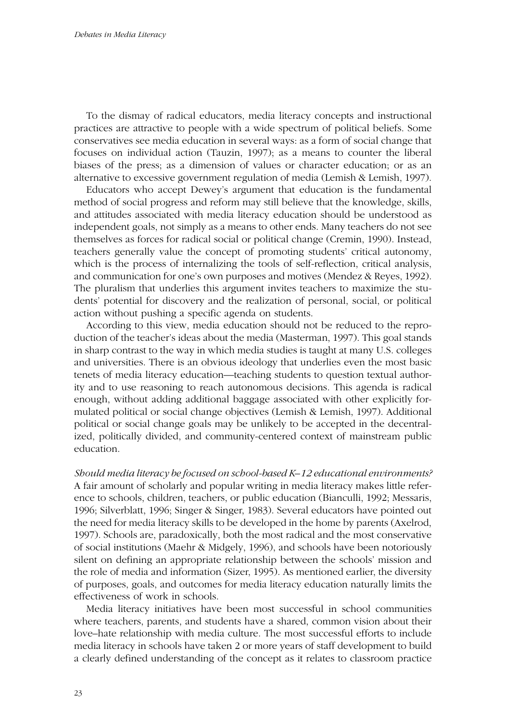To the dismay of radical educators, media literacy concepts and instructional practices are attractive to people with a wide spectrum of political beliefs. Some conservatives see media education in several ways: as a form of social change that focuses on individual action (Tauzin, 1997); as a means to counter the liberal biases of the press; as a dimension of values or character education; or as an alternative to excessive government regulation of media (Lemish & Lemish, 1997).

Educators who accept Dewey's argument that education is the fundamental method of social progress and reform may still believe that the knowledge, skills, and attitudes associated with media literacy education should be understood as independent goals, not simply as a means to other ends. Many teachers do not see themselves as forces for radical social or political change (Cremin, 1990). Instead, teachers generally value the concept of promoting students' critical autonomy, which is the process of internalizing the tools of self-reflection, critical analysis, and communication for one's own purposes and motives (Mendez & Reyes, 1992). The pluralism that underlies this argument invites teachers to maximize the students' potential for discovery and the realization of personal, social, or political action without pushing a specific agenda on students.

According to this view, media education should not be reduced to the reproduction of the teacher's ideas about the media (Masterman, 1997). This goal stands in sharp contrast to the way in which media studies is taught at many U.S. colleges and universities. There is an obvious ideology that underlies even the most basic tenets of media literacy education—teaching students to question textual authority and to use reasoning to reach autonomous decisions. This agenda is radical enough, without adding additional baggage associated with other explicitly formulated political or social change objectives (Lemish & Lemish, 1997). Additional political or social change goals may be unlikely to be accepted in the decentralized, politically divided, and community-centered context of mainstream public education.

*Should media literacy be focused on school-based K–12 educational environments?* A fair amount of scholarly and popular writing in media literacy makes little reference to schools, children, teachers, or public education (Bianculli, 1992; Messaris, 1996; Silverblatt, 1996; Singer & Singer, 1983). Several educators have pointed out the need for media literacy skills to be developed in the home by parents (Axelrod, 1997). Schools are, paradoxically, both the most radical and the most conservative of social institutions (Maehr & Midgely, 1996), and schools have been notoriously silent on defining an appropriate relationship between the schools' mission and the role of media and information (Sizer, 1995). As mentioned earlier, the diversity of purposes, goals, and outcomes for media literacy education naturally limits the effectiveness of work in schools.

Media literacy initiatives have been most successful in school communities where teachers, parents, and students have a shared, common vision about their love–hate relationship with media culture. The most successful efforts to include media literacy in schools have taken 2 or more years of staff development to build a clearly defined understanding of the concept as it relates to classroom practice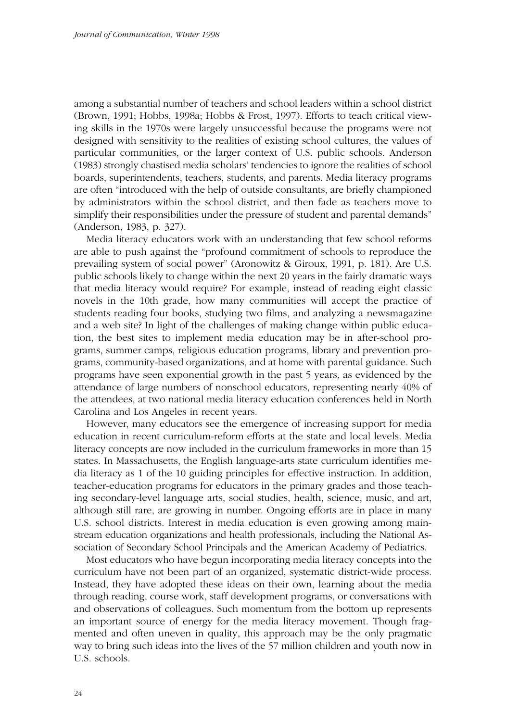among a substantial number of teachers and school leaders within a school district (Brown, 1991; Hobbs, 1998a; Hobbs & Frost, 1997). Efforts to teach critical viewing skills in the 1970s were largely unsuccessful because the programs were not designed with sensitivity to the realities of existing school cultures, the values of particular communities, or the larger context of U.S. public schools. Anderson (1983) strongly chastised media scholars' tendencies to ignore the realities of school boards, superintendents, teachers, students, and parents. Media literacy programs are often "introduced with the help of outside consultants, are briefly championed by administrators within the school district, and then fade as teachers move to simplify their responsibilities under the pressure of student and parental demands" (Anderson, 1983, p. 327).

Media literacy educators work with an understanding that few school reforms are able to push against the "profound commitment of schools to reproduce the prevailing system of social power" (Aronowitz & Giroux, 1991, p. 181). Are U.S. public schools likely to change within the next 20 years in the fairly dramatic ways that media literacy would require? For example, instead of reading eight classic novels in the 10th grade, how many communities will accept the practice of students reading four books, studying two films, and analyzing a newsmagazine and a web site? In light of the challenges of making change within public education, the best sites to implement media education may be in after-school programs, summer camps, religious education programs, library and prevention programs, community-based organizations, and at home with parental guidance. Such programs have seen exponential growth in the past 5 years, as evidenced by the attendance of large numbers of nonschool educators, representing nearly 40% of the attendees, at two national media literacy education conferences held in North Carolina and Los Angeles in recent years.

However, many educators see the emergence of increasing support for media education in recent curriculum-reform efforts at the state and local levels. Media literacy concepts are now included in the curriculum frameworks in more than 15 states. In Massachusetts, the English language-arts state curriculum identifies media literacy as 1 of the 10 guiding principles for effective instruction. In addition, teacher-education programs for educators in the primary grades and those teaching secondary-level language arts, social studies, health, science, music, and art, although still rare, are growing in number. Ongoing efforts are in place in many U.S. school districts. Interest in media education is even growing among mainstream education organizations and health professionals, including the National Association of Secondary School Principals and the American Academy of Pediatrics.

Most educators who have begun incorporating media literacy concepts into the curriculum have not been part of an organized, systematic district-wide process. Instead, they have adopted these ideas on their own, learning about the media through reading, course work, staff development programs, or conversations with and observations of colleagues. Such momentum from the bottom up represents an important source of energy for the media literacy movement. Though fragmented and often uneven in quality, this approach may be the only pragmatic way to bring such ideas into the lives of the 57 million children and youth now in U.S. schools.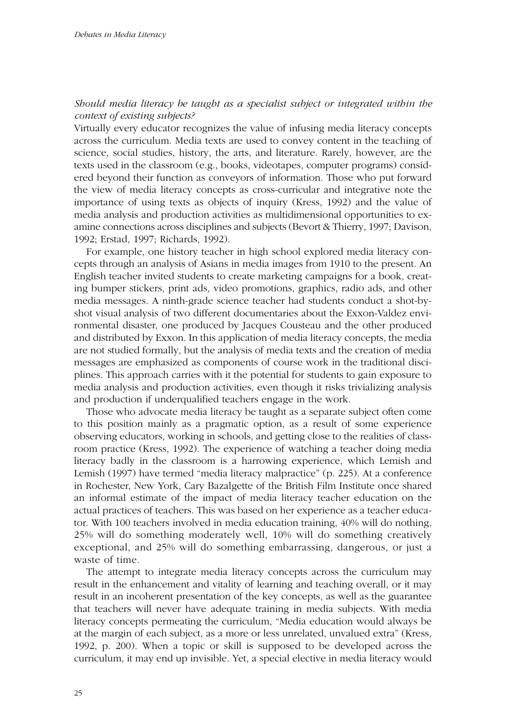## *Should media literacy be taught as a specialist subject or integrated within the context of existing subjects?*

Virtually every educator recognizes the value of infusing media literacy concepts across the curriculum. Media texts are used to convey content in the teaching of science, social studies, history, the arts, and literature. Rarely, however, are the texts used in the classroom (e.g., books, videotapes, computer programs) considered beyond their function as conveyors of information. Those who put forward the view of media literacy concepts as cross-curricular and integrative note the importance of using texts as objects of inquiry (Kress, 1992) and the value of media analysis and production activities as multidimensional opportunities to examine connections across disciplines and subjects (Bevort & Thierry, 1997; Davison, 1992; Erstad, 1997; Richards, 1992).

For example, one history teacher in high school explored media literacy concepts through an analysis of Asians in media images from 1910 to the present. An English teacher invited students to create marketing campaigns for a book, creating bumper stickers, print ads, video promotions, graphics, radio ads, and other media messages. A ninth-grade science teacher had students conduct a shot-byshot visual analysis of two different documentaries about the Exxon-Valdez environmental disaster, one produced by Jacques Cousteau and the other produced and distributed by Exxon. In this application of media literacy concepts, the media are not studied formally, but the analysis of media texts and the creation of media messages are emphasized as components of course work in the traditional disciplines. This approach carries with it the potential for students to gain exposure to media analysis and production activities, even though it risks trivializing analysis and production if underqualified teachers engage in the work.

Those who advocate media literacy be taught as a separate subject often come to this position mainly as a pragmatic option, as a result of some experience observing educators, working in schools, and getting close to the realities of classroom practice (Kress, 1992). The experience of watching a teacher doing media literacy badly in the classroom is a harrowing experience, which Lemish and Lemish (1997) have termed "media literacy malpractice" (p. 225). At a conference in Rochester, New York, Cary Bazalgette of the British Film Institute once shared an informal estimate of the impact of media literacy teacher education on the actual practices of teachers. This was based on her experience as a teacher educator. With 100 teachers involved in media education training, 40% will do nothing, 25% will do something moderately well, 10% will do something creatively exceptional, and 25% will do something embarrassing, dangerous, or just a waste of time.

The attempt to integrate media literacy concepts across the curriculum may result in the enhancement and vitality of learning and teaching overall, or it may result in an incoherent presentation of the key concepts, as well as the guarantee that teachers will never have adequate training in media subjects. With media literacy concepts permeating the curriculum, "Media education would always be at the margin of each subject, as a more or less unrelated, unvalued extra" (Kress, 1992, p. 200). When a topic or skill is supposed to be developed across the curriculum, it may end up invisible. Yet, a special elective in media literacy would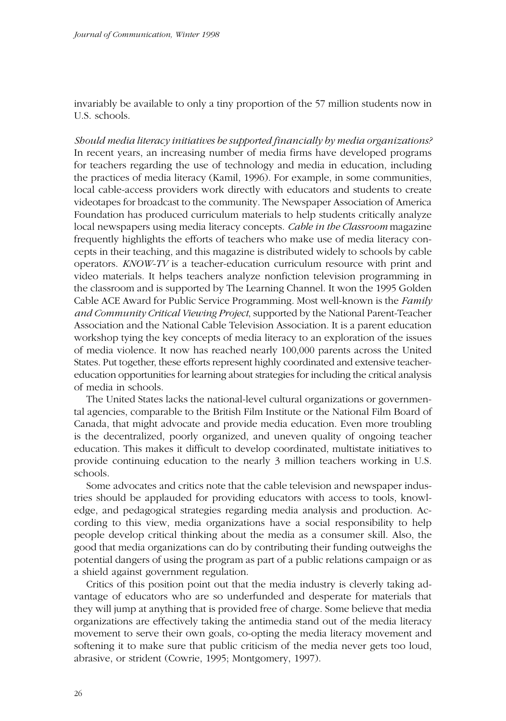invariably be available to only a tiny proportion of the 57 million students now in U.S. schools.

*Should media literacy initiatives be supported financially by media organizations?* In recent years, an increasing number of media firms have developed programs for teachers regarding the use of technology and media in education, including the practices of media literacy (Kamil, 1996). For example, in some communities, local cable-access providers work directly with educators and students to create videotapes for broadcast to the community. The Newspaper Association of America Foundation has produced curriculum materials to help students critically analyze local newspapers using media literacy concepts. *Cable in the Classroom* magazine frequently highlights the efforts of teachers who make use of media literacy concepts in their teaching, and this magazine is distributed widely to schools by cable operators. *KNOW-TV* is a teacher-education curriculum resource with print and video materials. It helps teachers analyze nonfiction television programming in the classroom and is supported by The Learning Channel. It won the 1995 Golden Cable ACE Award for Public Service Programming. Most well-known is the *Family and Community Critical Viewing Project*, supported by the National Parent-Teacher Association and the National Cable Television Association. It is a parent education workshop tying the key concepts of media literacy to an exploration of the issues of media violence. It now has reached nearly 100,000 parents across the United States. Put together, these efforts represent highly coordinated and extensive teachereducation opportunities for learning about strategies for including the critical analysis of media in schools.

The United States lacks the national-level cultural organizations or governmental agencies, comparable to the British Film Institute or the National Film Board of Canada, that might advocate and provide media education. Even more troubling is the decentralized, poorly organized, and uneven quality of ongoing teacher education. This makes it difficult to develop coordinated, multistate initiatives to provide continuing education to the nearly 3 million teachers working in U.S. schools.

Some advocates and critics note that the cable television and newspaper industries should be applauded for providing educators with access to tools, knowledge, and pedagogical strategies regarding media analysis and production. According to this view, media organizations have a social responsibility to help people develop critical thinking about the media as a consumer skill. Also, the good that media organizations can do by contributing their funding outweighs the potential dangers of using the program as part of a public relations campaign or as a shield against government regulation.

Critics of this position point out that the media industry is cleverly taking advantage of educators who are so underfunded and desperate for materials that they will jump at anything that is provided free of charge. Some believe that media organizations are effectively taking the antimedia stand out of the media literacy movement to serve their own goals, co-opting the media literacy movement and softening it to make sure that public criticism of the media never gets too loud, abrasive, or strident (Cowrie, 1995; Montgomery, 1997).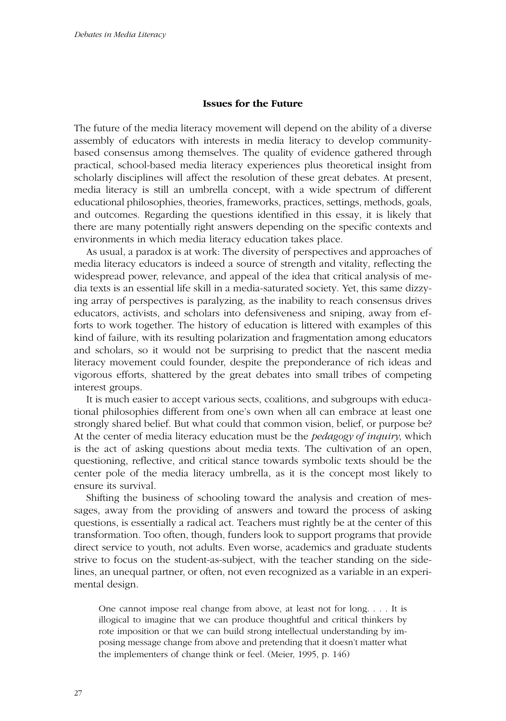#### **Issues for the Future**

The future of the media literacy movement will depend on the ability of a diverse assembly of educators with interests in media literacy to develop communitybased consensus among themselves. The quality of evidence gathered through practical, school-based media literacy experiences plus theoretical insight from scholarly disciplines will affect the resolution of these great debates. At present, media literacy is still an umbrella concept, with a wide spectrum of different educational philosophies, theories, frameworks, practices, settings, methods, goals, and outcomes. Regarding the questions identified in this essay, it is likely that there are many potentially right answers depending on the specific contexts and environments in which media literacy education takes place.

As usual, a paradox is at work: The diversity of perspectives and approaches of media literacy educators is indeed a source of strength and vitality, reflecting the widespread power, relevance, and appeal of the idea that critical analysis of media texts is an essential life skill in a media-saturated society. Yet, this same dizzying array of perspectives is paralyzing, as the inability to reach consensus drives educators, activists, and scholars into defensiveness and sniping, away from efforts to work together. The history of education is littered with examples of this kind of failure, with its resulting polarization and fragmentation among educators and scholars, so it would not be surprising to predict that the nascent media literacy movement could founder, despite the preponderance of rich ideas and vigorous efforts, shattered by the great debates into small tribes of competing interest groups.

It is much easier to accept various sects, coalitions, and subgroups with educational philosophies different from one's own when all can embrace at least one strongly shared belief. But what could that common vision, belief, or purpose be? At the center of media literacy education must be the *pedagogy of inquiry*, which is the act of asking questions about media texts. The cultivation of an open, questioning, reflective, and critical stance towards symbolic texts should be the center pole of the media literacy umbrella, as it is the concept most likely to ensure its survival.

Shifting the business of schooling toward the analysis and creation of messages, away from the providing of answers and toward the process of asking questions, is essentially a radical act. Teachers must rightly be at the center of this transformation. Too often, though, funders look to support programs that provide direct service to youth, not adults. Even worse, academics and graduate students strive to focus on the student-as-subject, with the teacher standing on the sidelines, an unequal partner, or often, not even recognized as a variable in an experimental design.

One cannot impose real change from above, at least not for long. . . . It is illogical to imagine that we can produce thoughtful and critical thinkers by rote imposition or that we can build strong intellectual understanding by imposing message change from above and pretending that it doesn't matter what the implementers of change think or feel. (Meier, 1995, p. 146)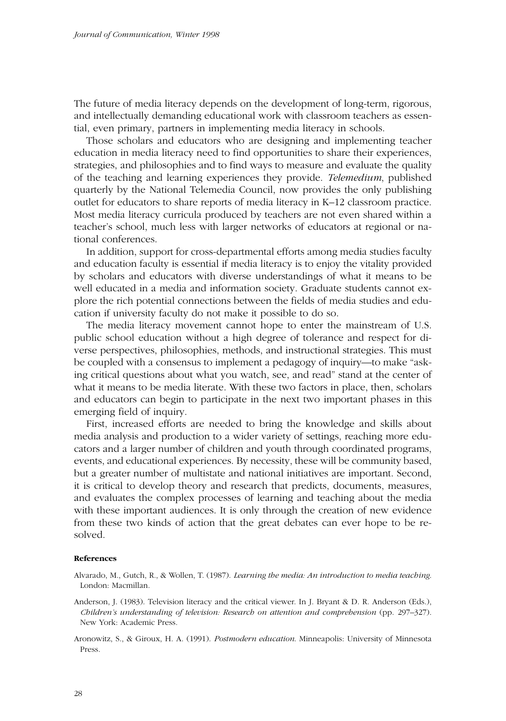The future of media literacy depends on the development of long-term, rigorous, and intellectually demanding educational work with classroom teachers as essential, even primary, partners in implementing media literacy in schools.

Those scholars and educators who are designing and implementing teacher education in media literacy need to find opportunities to share their experiences, strategies, and philosophies and to find ways to measure and evaluate the quality of the teaching and learning experiences they provide. *Telemedium*, published quarterly by the National Telemedia Council, now provides the only publishing outlet for educators to share reports of media literacy in K–12 classroom practice. Most media literacy curricula produced by teachers are not even shared within a teacher's school, much less with larger networks of educators at regional or national conferences.

In addition, support for cross-departmental efforts among media studies faculty and education faculty is essential if media literacy is to enjoy the vitality provided by scholars and educators with diverse understandings of what it means to be well educated in a media and information society. Graduate students cannot explore the rich potential connections between the fields of media studies and education if university faculty do not make it possible to do so.

The media literacy movement cannot hope to enter the mainstream of U.S. public school education without a high degree of tolerance and respect for diverse perspectives, philosophies, methods, and instructional strategies. This must be coupled with a consensus to implement a pedagogy of inquiry—to make "asking critical questions about what you watch, see, and read" stand at the center of what it means to be media literate. With these two factors in place, then, scholars and educators can begin to participate in the next two important phases in this emerging field of inquiry.

First, increased efforts are needed to bring the knowledge and skills about media analysis and production to a wider variety of settings, reaching more educators and a larger number of children and youth through coordinated programs, events, and educational experiences. By necessity, these will be community based, but a greater number of multistate and national initiatives are important. Second, it is critical to develop theory and research that predicts, documents, measures, and evaluates the complex processes of learning and teaching about the media with these important audiences. It is only through the creation of new evidence from these two kinds of action that the great debates can ever hope to be resolved.

#### **References**

- Alvarado, M., Gutch, R., & Wollen, T. (1987). *Learning the media: An introduction to media teaching*. London: Macmillan.
- Anderson, J. (1983). Television literacy and the critical viewer. In J. Bryant & D. R. Anderson (Eds.), *Children's understanding of television: Research on attention and comprehension* (pp. 297–327). New York: Academic Press.
- Aronowitz, S., & Giroux, H. A. (1991). *Postmodern education*. Minneapolis: University of Minnesota Press.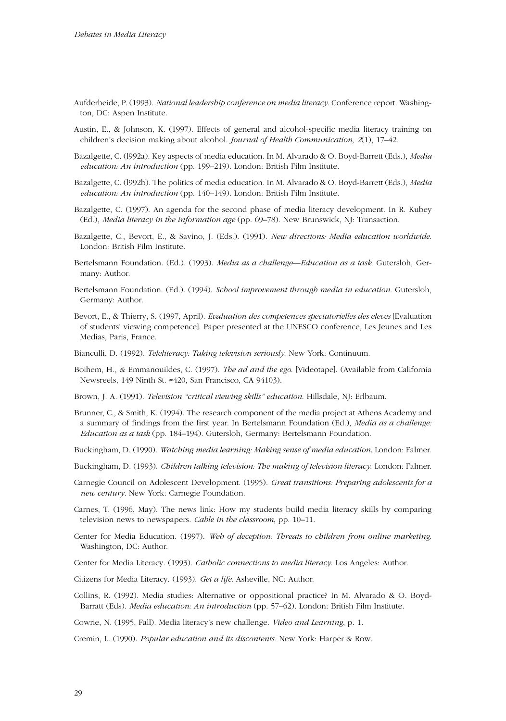- Aufderheide, P. (1993). *National leadership conference on media literacy*. Conference report. Washington, DC: Aspen Institute.
- Austin, E., & Johnson, K. (1997). Effects of general and alcohol-specific media literacy training on children's decision making about alcohol. *Journal of Health Communication, 2*(1), 17–42.
- Bazalgette, C. (l992a). Key aspects of media education. In M. Alvarado & O. Boyd-Barrett (Eds.), *Media education: An introduction* (pp. 199–219). London: British Film Institute.
- Bazalgette, C. (l992b). The politics of media education. In M. Alvarado & O. Boyd-Barrett (Eds.), *Media education: An introduction* (pp. 140–149). London: British Film Institute.
- Bazalgette, C. (1997). An agenda for the second phase of media literacy development. In R. Kubey (Ed.), *Media literacy in the information age* (pp. 69–78). New Brunswick, NJ: Transaction.
- Bazalgette, C., Bevort, E., & Savino, J. (Eds.). (1991). *New directions: Media education worldwide*. London: British Film Institute.
- Bertelsmann Foundation. (Ed.). (1993). *Media as a challenge—Education as a task*. Gutersloh, Germany: Author.
- Bertelsmann Foundation. (Ed.). (1994). *School improvement through media in education*. Gutersloh, Germany: Author.
- Bevort, E., & Thierry, S. (1997, April). *Evaluation des competences spectatorielles des eleves* [Evaluation of students' viewing competence]. Paper presented at the UNESCO conference, Les Jeunes and Les Medias, Paris, France.
- Bianculli, D. (1992). *Teleliteracy: Taking television seriously*. New York: Continuum.
- Boihem, H., & Emmanouildes, C. (1997). *The ad and the ego*. [Videotape]. (Available from California Newsreels, 149 Ninth St. #420, San Francisco, CA 94103).
- Brown, J. A. (1991). *Television "critical viewing skills" education*. Hillsdale, NJ: Erlbaum.
- Brunner, C., & Smith, K. (1994). The research component of the media project at Athens Academy and a summary of findings from the first year. In Bertelsmann Foundation (Ed.), *Media as a challenge: Education as a task* (pp. 184–194). Gutersloh, Germany: Bertelsmann Foundation.
- Buckingham, D. (1990). *Watching media learning: Making sense of media education*. London: Falmer.
- Buckingham, D. (1993). *Children talking television: The making of television literacy*. London: Falmer.
- Carnegie Council on Adolescent Development. (1995). *Great transitions: Preparing adolescents for a new century.* New York: Carnegie Foundation.
- Carnes, T. (1996, May). The news link: How my students build media literacy skills by comparing television news to newspapers. *Cable in the classroom*, pp. 10–11.
- Center for Media Education. (1997). *Web of deception: Threats to children from online marketing*. Washington, DC: Author.
- Center for Media Literacy. (1993). *Catholic connections to media literacy*. Los Angeles: Author.
- Citizens for Media Literacy. (1993). *Get a life*. Asheville, NC: Author.
- Collins, R. (1992). Media studies: Alternative or oppositional practice? In M. Alvarado & O. Boyd-Barratt (Eds). *Media education: An introduction* (pp. 57–62). London: British Film Institute.
- Cowrie, N. (1995, Fall). Media literacy's new challenge. *Video and Learning*, p. 1.
- Cremin, L. (1990). *Popular education and its discontents.* New York: Harper & Row.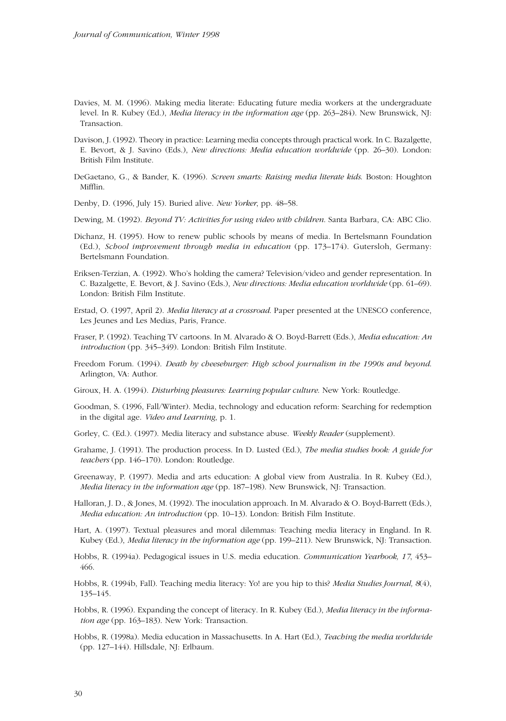- Davies, M. M. (1996). Making media literate: Educating future media workers at the undergraduate level. In R. Kubey (Ed.), *Media literacy in the information age* (pp. 263–284). New Brunswick, NJ: Transaction.
- Davison, J. (1992). Theory in practice: Learning media concepts through practical work. In C. Bazalgette, E. Bevort, & J. Savino (Eds.), *New directions: Media education worldwide* (pp. 26–30). London: British Film Institute.
- DeGaetano, G., & Bander, K. (1996). *Screen smarts: Raising media literate kids*. Boston: Houghton Mifflin.
- Denby, D. (1996, July 15). Buried alive. *New Yorker*, pp. 48–58.
- Dewing, M. (1992). *Beyond TV: Activities for using video with children*. Santa Barbara, CA: ABC Clio.
- Dichanz, H. (1995). How to renew public schools by means of media. In Bertelsmann Foundation (Ed.), *School improvement through media in education* (pp. 173–174). Gutersloh, Germany: Bertelsmann Foundation.
- Eriksen-Terzian, A. (1992). Who's holding the camera? Television/video and gender representation. In C. Bazalgette, E. Bevort, & J. Savino (Eds.), *New directions: Media education worldwide* (pp. 61–69). London: British Film Institute.
- Erstad, O. (1997, April 2). *Media literacy at a crossroad*. Paper presented at the UNESCO conference, Les Jeunes and Les Medias, Paris, France.
- Fraser, P. (1992). Teaching TV cartoons. In M. Alvarado & O. Boyd-Barrett (Eds.), *Media education: An introduction* (pp. 345–349). London: British Film Institute.
- Freedom Forum. (1994). *Death by cheeseburger: High school journalism in the 1990s and beyond*. Arlington, VA: Author.
- Giroux, H. A. (1994). *Disturbing pleasures: Learning popular culture*. New York: Routledge.
- Goodman, S. (1996, Fall/Winter). Media, technology and education reform: Searching for redemption in the digital age. *Video and Learning*, p. 1.
- Gorley, C. (Ed.). (1997). Media literacy and substance abuse. *Weekly Reader* (supplement).
- Grahame, J. (1991). The production process. In D. Lusted (Ed.), *The media studies book: A guide for teachers* (pp. 146–170). London: Routledge.
- Greenaway, P. (1997). Media and arts education: A global view from Australia. In R. Kubey (Ed.), *Media literacy in the information age* (pp. 187–198). New Brunswick, NJ: Transaction.
- Halloran, J. D., & Jones, M. (1992). The inoculation approach. In M. Alvarado & O. Boyd-Barrett (Eds.), *Media education: An introduction* (pp. 10–13). London: British Film Institute.
- Hart, A. (1997). Textual pleasures and moral dilemmas: Teaching media literacy in England. In R. Kubey (Ed.), *Media literacy in the information age* (pp. 199–211). New Brunswick, NJ: Transaction.
- Hobbs, R. (1994a). Pedagogical issues in U.S. media education. *Communication Yearbook, 17*, 453– 466.
- Hobbs, R. (1994b, Fall). Teaching media literacy: Yo! are you hip to this? *Media Studies Journal, 8*(4), 135–145.
- Hobbs, R. (1996). Expanding the concept of literacy. In R. Kubey (Ed.), *Media literacy in the information age* (pp. 163–183). New York: Transaction.
- Hobbs, R. (1998a). Media education in Massachusetts. In A. Hart (Ed.), *Teaching the media worldwide* (pp. 127–144). Hillsdale, NJ: Erlbaum.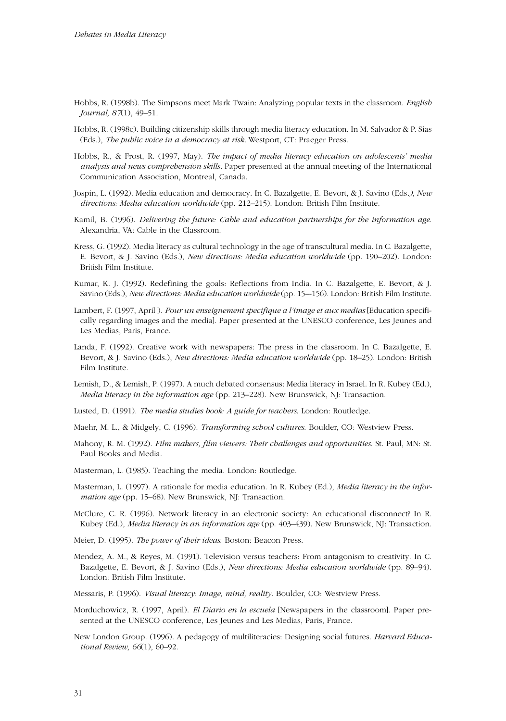- Hobbs, R. (1998b). The Simpsons meet Mark Twain: Analyzing popular texts in the classroom. *English Journal, 87*(1), 49–51.
- Hobbs, R. (1998c). Building citizenship skills through media literacy education. In M. Salvador & P. Sias (Eds.), *The public voice in a democracy at risk.* Westport, CT: Praeger Press.
- Hobbs, R., & Frost, R. (1997, May). *The impact of media literacy education on adolescents' media analysis and news comprehension skills.* Paper presented at the annual meeting of the International Communication Association, Montreal, Canada.
- Jospin, L. (1992). Media education and democracy. In C. Bazalgette, E. Bevort, & J. Savino (Eds*.), New directions: Media education worldwide* (pp. 212–215). London: British Film Institute.
- Kamil, B. (1996). *Delivering the future: Cable and education partnerships for the information age*. Alexandria, VA: Cable in the Classroom.
- Kress, G. (1992). Media literacy as cultural technology in the age of transcultural media. In C. Bazalgette, E. Bevort, & J. Savino (Eds.), *New directions: Media education worldwide* (pp. 190–202). London: British Film Institute.
- Kumar, K. J. (1992). Redefining the goals: Reflections from India. In C. Bazalgette, E. Bevort, & J. Savino (Eds.), *New directions: Media education worldwide* (pp. 15–-156). London: British Film Institute.
- Lambert, F. (1997, April ). *Pour un enseignement specifique a l'image et aux medias* [Education specifically regarding images and the media]. Paper presented at the UNESCO conference, Les Jeunes and Les Medias, Paris, France.
- Landa, F. (1992). Creative work with newspapers: The press in the classroom. In C. Bazalgette, E. Bevort, & J. Savino (Eds.), *New directions: Media education worldwide* (pp. 18–25). London: British Film Institute.
- Lemish, D., & Lemish, P. (1997). A much debated consensus: Media literacy in Israel. In R. Kubey (Ed.), *Media literacy in the information age* (pp. 213–228). New Brunswick, NJ: Transaction.
- Lusted, D. (1991). *The media studies book: A guide for teachers*. London: Routledge.
- Maehr, M. L., & Midgely, C. (1996). *Transforming school cultures*. Boulder, CO: Westview Press.
- Mahony, R. M. (1992). *Film makers, film viewers: Their challenges and opportunities*. St. Paul, MN: St. Paul Books and Media.
- Masterman, L. (1985). Teaching the media. London: Routledge.
- Masterman, L. (1997). A rationale for media education. In R. Kubey (Ed.), *Media literacy in the information age* (pp. 15–68). New Brunswick, NJ: Transaction.
- McClure, C. R. (1996). Network literacy in an electronic society: An educational disconnect? In R. Kubey (Ed.), *Media literacy in an information age* (pp. 403–439). New Brunswick, NJ: Transaction.
- Meier, D. (1995). *The power of their ideas*. Boston: Beacon Press.
- Mendez, A. M., & Reyes, M. (1991). Television versus teachers: From antagonism to creativity. In C. Bazalgette, E. Bevort, & J. Savino (Eds.), *New directions: Media education worldwide* (pp. 89–94). London: British Film Institute.
- Messaris, P. (1996). *Visual literacy: Image, mind, reality.* Boulder, CO: Westview Press.
- Morduchowicz, R. (1997, April). *El Diario en la escuela* [Newspapers in the classroom]. Paper presented at the UNESCO conference, Les Jeunes and Les Medias, Paris, France.
- New London Group. (1996). A pedagogy of multiliteracies: Designing social futures. *Harvard Educational Review, 66*(1), 60–92.